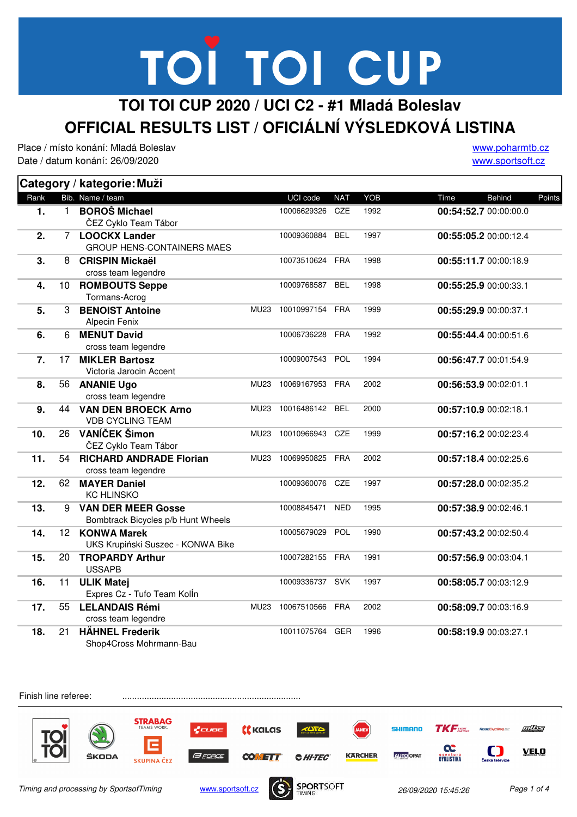### **TOI TOI CUP 2020 / UCI C2 - #1 Mladá Boleslav OFFICIAL RESULTS LIST / OFICIÁLNÍ VÝSLEDKOVÁ LISTINA**

Place / místo konání: Mladá Boleslav Date / datum konání: 26/09/2020

www.poharmtb.cz www.sportsoft.cz

|      |                 | Category / kategorie: Muži                                      |             |                 |            |            |                                 |
|------|-----------------|-----------------------------------------------------------------|-------------|-----------------|------------|------------|---------------------------------|
| Rank |                 | Bib. Name / team                                                |             | UCI code        | <b>NAT</b> | <b>YOB</b> | <b>Behind</b><br>Points<br>Time |
| 1.   | 1.              | <b>BOROŠ Michael</b><br>ČEZ Cyklo Team Tábor                    |             | 10006629326     | <b>CZE</b> | 1992       | 00:54:52.7 00:00:00.0           |
| 2.   |                 | 7 LOOCKX Lander<br><b>GROUP HENS-CONTAINERS MAES</b>            |             | 10009360884     | <b>BEL</b> | 1997       | 00:55:05.2 00:00:12.4           |
| 3.   | 8               | <b>CRISPIN Mickaël</b><br>cross team legendre                   |             | 10073510624 FRA |            | 1998       | 00:55:11.7 00:00:18.9           |
| 4.   | 10              | <b>ROMBOUTS Seppe</b><br>Tormans-Acrog                          |             | 10009768587     | <b>BEL</b> | 1998       | 00:55:25.9 00:00:33.1           |
| 5.   | 3               | <b>BENOIST Antoine</b><br>Alpecin Fenix                         | <b>MU23</b> | 10010997154 FRA |            | 1999       | 00:55:29.9 00:00:37.1           |
| 6.   | 6               | <b>MENUT David</b><br>cross team legendre                       |             | 10006736228 FRA |            | 1992       | 00:55:44.4 00:00:51.6           |
| 7.   | 17              | <b>MIKLER Bartosz</b><br>Victoria Jarocin Accent                |             | 10009007543     | POL        | 1994       | 00:56:47.7 00:01:54.9           |
| 8.   | 56              | <b>ANANIE Ugo</b><br>cross team legendre                        | <b>MU23</b> | 10069167953 FRA |            | 2002       | 00:56:53.9 00:02:01.1           |
| 9.   | 44              | <b>VAN DEN BROECK Arno</b><br><b>VDB CYCLING TEAM</b>           | <b>MU23</b> | 10016486142     | <b>BEL</b> | 2000       | 00:57:10.9 00:02:18.1           |
| 10.  | 26              | VANÍČEK Šimon<br>ČEZ Cyklo Team Tábor                           | <b>MU23</b> | 10010966943     | CZE        | 1999       | 00:57:16.2 00:02:23.4           |
| 11.  | 54              | <b>RICHARD ANDRADE Florian</b><br>cross team legendre           | <b>MU23</b> | 10069950825     | <b>FRA</b> | 2002       | 00:57:18.4 00:02:25.6           |
| 12.  | 62              | <b>MAYER Daniel</b><br><b>KC HLINSKO</b>                        |             | 10009360076 CZE |            | 1997       | 00:57:28.0 00:02:35.2           |
| 13.  | 9               | <b>VAN DER MEER Gosse</b><br>Bombtrack Bicycles p/b Hunt Wheels |             | 10008845471     | <b>NED</b> | 1995       | 00:57:38.9 00:02:46.1           |
| 14.  | 12 <sup>2</sup> | <b>KONWA Marek</b><br>UKS Krupiński Suszec - KONWA Bike         |             | 10005679029     | POL        | 1990       | 00:57:43.2 00:02:50.4           |
| 15.  | 20              | <b>TROPARDY Arthur</b><br><b>USSAPB</b>                         |             | 10007282155 FRA |            | 1991       | 00:57:56.9 00:03:04.1           |
| 16.  | 11              | <b>ULIK Matej</b><br>Expres Cz - Tufo Team KolÍn                |             | 10009336737 SVK |            | 1997       | 00:58:05.7 00:03:12.9           |
| 17.  | 55              | <b>LELANDAIS Rémi</b><br>cross team legendre                    | <b>MU23</b> | 10067510566 FRA |            | 2002       | 00:58:09.7 00:03:16.9           |
| 18.  | 21              | <b>HÄHNEL Frederik</b><br>Shop4Cross Mohrmann-Bau               |             | 10011075764     | GER        | 1996       | 00:58:19.9 00:03:27.1           |

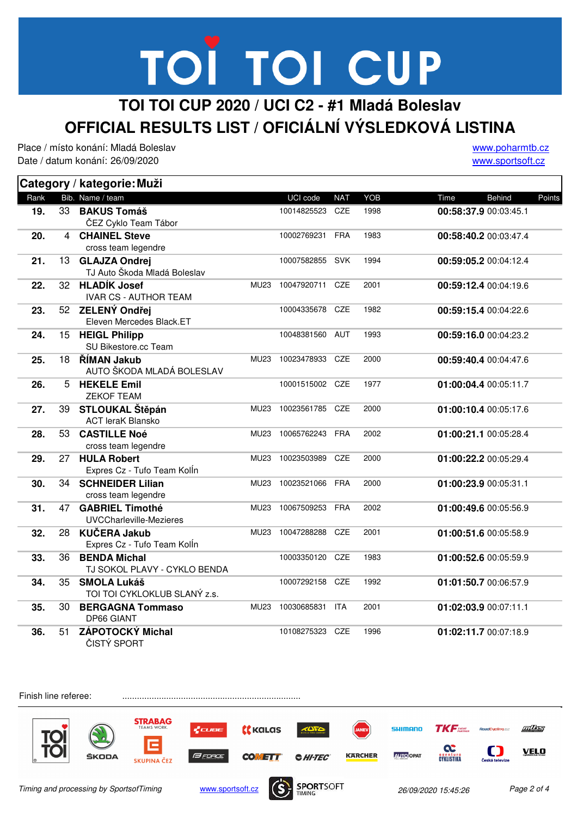#### **TOI TOI CUP 2020 / UCI C2 - #1 Mladá Boleslav OFFICIAL RESULTS LIST / OFICIÁLNÍ VÝSLEDKOVÁ LISTINA**

Place / místo konání: Mladá Boleslav Date / datum konání: 26/09/2020

www.poharmtb.cz www.sportsoft.cz

|      |    | Category / kategorie: Muži                               |             |                 |            |      |                       |        |
|------|----|----------------------------------------------------------|-------------|-----------------|------------|------|-----------------------|--------|
| Rank |    | Bib. Name / team                                         |             | UCI code        | <b>NAT</b> | YOB  | Time<br><b>Behind</b> | Points |
| 19.  | 33 | <b>BAKUS Tomáš</b><br>ČEZ Cyklo Team Tábor               |             | 10014825523     | <b>CZE</b> | 1998 | 00:58:37.9 00:03:45.1 |        |
| 20.  | 4  | <b>CHAINEL Steve</b><br>cross team legendre              |             | 10002769231     | <b>FRA</b> | 1983 | 00:58:40.2 00:03:47.4 |        |
| 21.  | 13 | <b>GLAJZA Ondrej</b><br>TJ Auto Škoda Mladá Boleslav     |             | 10007582855     | <b>SVK</b> | 1994 | 00:59:05.2 00:04:12.4 |        |
| 22.  | 32 | <b>HLADÍK Josef</b><br><b>IVAR CS - AUTHOR TEAM</b>      | <b>MU23</b> | 10047920711     | CZE        | 2001 | 00:59:12.4 00:04:19.6 |        |
| 23.  | 52 | ZELENÝ Ondřej<br>Eleven Mercedes Black.ET                |             | 10004335678     | CZE        | 1982 | 00:59:15.4 00:04:22.6 |        |
| 24.  | 15 | <b>HEIGL Philipp</b><br>SU Bikestore.cc Team             |             | 10048381560 AUT |            | 1993 | 00:59:16.0 00:04:23.2 |        |
| 25.  | 18 | ŘÍMAN Jakub<br>AUTO ŠKODA MLADÁ BOLESLAV                 | <b>MU23</b> | 10023478933     | <b>CZE</b> | 2000 | 00:59:40.4 00:04:47.6 |        |
| 26.  | 5  | <b>HEKELE Emil</b><br><b>ZEKOF TEAM</b>                  |             | 10001515002 CZE |            | 1977 | 01:00:04.4 00:05:11.7 |        |
| 27.  | 39 | STLOUKAL Štěpán<br><b>ACT leraK Blansko</b>              | <b>MU23</b> | 10023561785 CZE |            | 2000 | 01:00:10.4 00:05:17.6 |        |
| 28.  | 53 | <b>CASTILLE Noé</b><br>cross team legendre               | <b>MU23</b> | 10065762243     | <b>FRA</b> | 2002 | 01:00:21.1 00:05:28.4 |        |
| 29.  | 27 | <b>HULA Robert</b><br>Expres Cz - Tufo Team KolÍn        | <b>MU23</b> | 10023503989     | <b>CZE</b> | 2000 | 01:00:22.2 00:05:29.4 |        |
| 30.  | 34 | <b>SCHNEIDER Lilian</b><br>cross team legendre           | <b>MU23</b> | 10023521066     | <b>FRA</b> | 2000 | 01:00:23.9 00:05:31.1 |        |
| 31.  | 47 | <b>GABRIEL Timothé</b><br><b>UVCCharleville-Mezieres</b> | <b>MU23</b> | 10067509253     | <b>FRA</b> | 2002 | 01:00:49.6 00:05:56.9 |        |
| 32.  | 28 | <b>KUČERA Jakub</b><br>Expres Cz - Tufo Team Kolln       | <b>MU23</b> | 10047288288     | CZE        | 2001 | 01:00:51.6 00:05:58.9 |        |
| 33.  | 36 | <b>BENDA Michal</b><br>TJ SOKOL PLAVY - CYKLO BENDA      |             | 10003350120     | CZE        | 1983 | 01:00:52.6 00:05:59.9 |        |
| 34.  | 35 | <b>SMOLA Lukáš</b><br>TOI TOI CYKLOKLUB SLANÝ z.s.       |             | 10007292158 CZE |            | 1992 | 01:01:50.7 00:06:57.9 |        |
| 35.  | 30 | <b>BERGAGNA Tommaso</b><br><b>DP66 GIANT</b>             | <b>MU23</b> | 10030685831     | <b>ITA</b> | 2001 | 01:02:03.9 00:07:11.1 |        |
| 36.  | 51 | ZÁPOTOCKÝ Michal<br>ČISTÝ SPORT                          |             | 10108275323 CZE |            | 1996 | 01:02:11.7 00:07:18.9 |        |

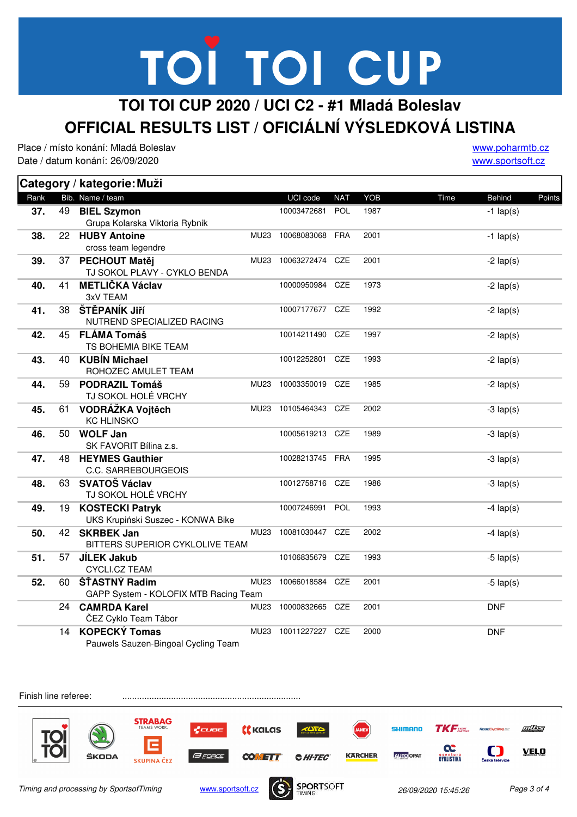#### **TOI TOI CUP 2020 / UCI C2 - #1 Mladá Boleslav OFFICIAL RESULTS LIST / OFICIÁLNÍ VÝSLEDKOVÁ LISTINA**

Place / místo konání: Mladá Boleslav Date / datum konání: 26/09/2020

www.poharmtb.cz www.sportsoft.cz

|      |    | Category / kategorie: Muži                                  |             |                 |            |      |             |             |        |  |
|------|----|-------------------------------------------------------------|-------------|-----------------|------------|------|-------------|-------------|--------|--|
| Rank |    | Bib. Name / team                                            |             | UCI code        | <b>NAT</b> | YOB  | Time        | Behind      | Points |  |
| 37.  | 49 | <b>BIEL Szymon</b><br>Grupa Kolarska Viktoria Rybnik        |             | 10003472681     | <b>POL</b> | 1987 |             | $-1$ lap(s) |        |  |
| 38.  | 22 | <b>HUBY Antoine</b><br>cross team legendre                  | <b>MU23</b> | 10068083068     | FRA        | 2001 |             | $-1$ lap(s) |        |  |
| 39.  | 37 | <b>PECHOUT Matěj</b><br>TJ SOKOL PLAVY - CYKLO BENDA        | <b>MU23</b> | 10063272474 CZE |            | 2001 |             | $-2$ lap(s) |        |  |
| 40.  | 41 | <b>METLIČKA Václav</b><br>3xV TEAM                          |             | 10000950984     | <b>CZE</b> | 1973 | $-2$ lap(s) |             |        |  |
| 41.  | 38 | ŠTĚPANÍK Jiří<br>NUTREND SPECIALIZED RACING                 |             | 10007177677     | <b>CZE</b> | 1992 |             | $-2$ lap(s) |        |  |
| 42.  | 45 | <b>FLÁMA Tomáš</b><br>TS BOHEMIA BIKE TEAM                  |             | 10014211490     | CZE        | 1997 |             | $-2$ lap(s) |        |  |
| 43.  | 40 | <b>KUBÍN Michael</b><br>ROHOZEC AMULET TEAM                 |             | 10012252801     | CZE        | 1993 |             | $-2$ lap(s) |        |  |
| 44.  | 59 | <b>PODRAZIL Tomáš</b><br>TJ SOKOL HOLÉ VRCHY                | <b>MU23</b> | 10003350019 CZE |            | 1985 |             | $-2$ lap(s) |        |  |
| 45.  | 61 | VODRÁŽKA Vojtěch<br><b>KC HLINSKO</b>                       | MU23        | 10105464343 CZE |            | 2002 |             | $-3$ lap(s) |        |  |
| 46.  | 50 | <b>WOLF Jan</b><br>SK FAVORIT Bílina z.s.                   |             | 10005619213 CZE |            | 1989 |             | $-3$ lap(s) |        |  |
| 47.  | 48 | <b>HEYMES Gauthier</b><br>C.C. SARREBOURGEOIS               |             | 10028213745 FRA |            | 1995 |             | $-3$ lap(s) |        |  |
| 48.  | 63 | <b>SVATOŠ Václav</b><br>TJ SOKOL HOLÉ VRCHY                 |             | 10012758716 CZE |            | 1986 |             | $-3$ lap(s) |        |  |
| 49.  | 19 | <b>KOSTECKI Patryk</b><br>UKS Krupiński Suszec - KONWA Bike |             | 10007246991 POL |            | 1993 |             | $-4$ lap(s) |        |  |
| 50.  | 42 | <b>SKRBEK Jan</b><br>BITTERS SUPERIOR CYKLOLIVE TEAM        | <b>MU23</b> | 10081030447     | CZE        | 2002 |             | $-4$ lap(s) |        |  |
| 51.  | 57 | <b>JÍLEK Jakub</b><br>CYCLI.CZ TEAM                         |             | 10106835679     | <b>CZE</b> | 1993 |             | $-5$ lap(s) |        |  |
| 52.  | 60 | ŠŤASTNÝ Radim<br>GAPP System - KOLOFIX MTB Racing Team      | MU23        | 10066018584 CZE |            | 2001 |             | $-5$ lap(s) |        |  |
|      | 24 | <b>CAMRDA Karel</b><br>ČEZ Cyklo Team Tábor                 | <b>MU23</b> | 10000832665 CZE |            | 2001 |             | <b>DNF</b>  |        |  |
|      | 14 | <b>KOPECKÝ Tomas</b><br>Pauwels Sauzen-Bingoal Cycling Team | <b>MU23</b> | 10011227227 CZE |            | 2000 |             | <b>DNF</b>  |        |  |